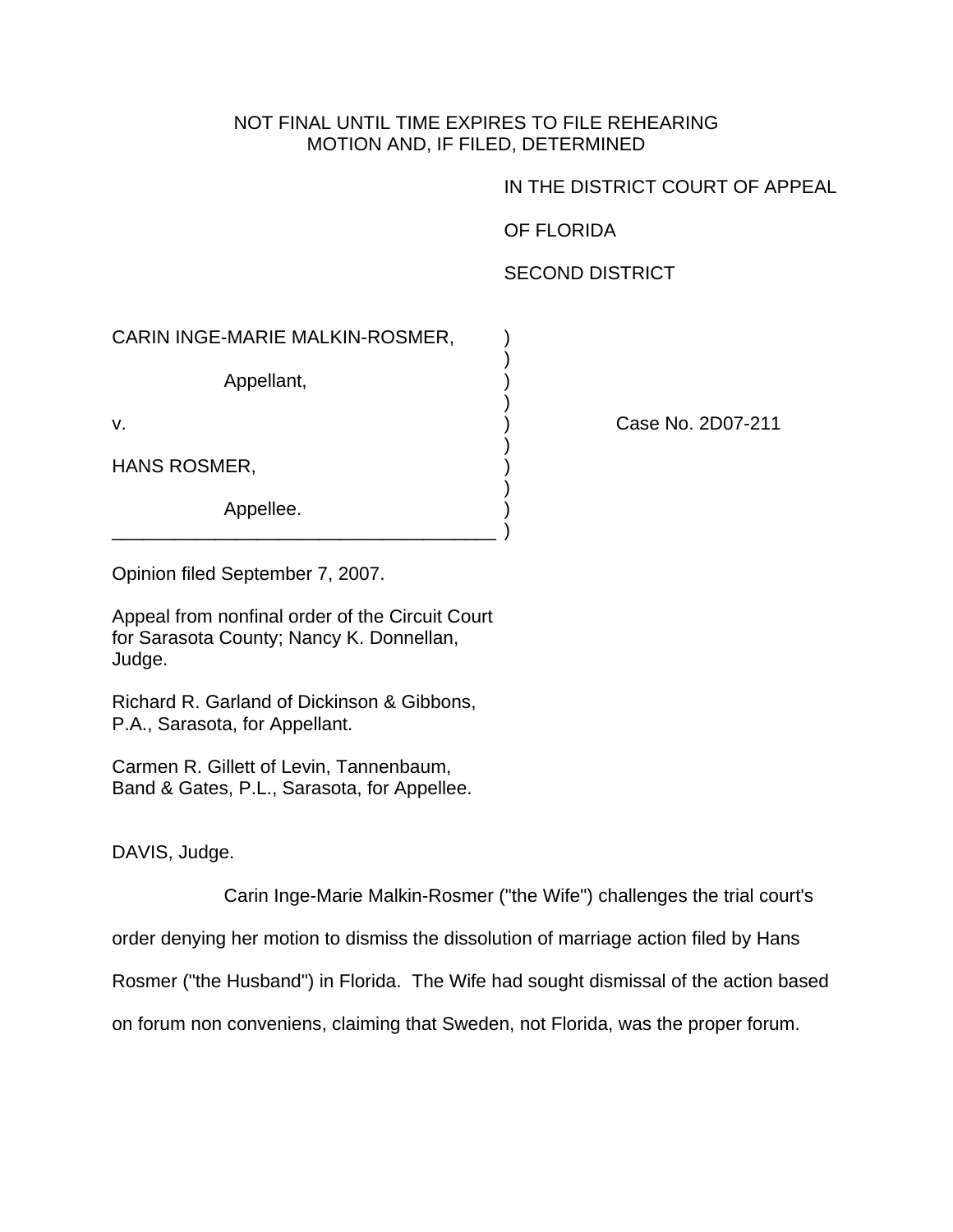## NOT FINAL UNTIL TIME EXPIRES TO FILE REHEARING MOTION AND, IF FILED, DETERMINED

)

)

)

)

## IN THE DISTRICT COURT OF APPEAL

OF FLORIDA

## SECOND DISTRICT

## CARIN INGE-MARIE MALKIN-ROSMER, )

Appellant,

HANS ROSMER,

Appellee.

v. ) Case No. 2D07-211

Opinion filed September 7, 2007.

Appeal from nonfinal order of the Circuit Court for Sarasota County; Nancy K. Donnellan, Judge.

\_\_\_\_\_\_\_\_\_\_\_\_\_\_\_\_\_\_\_\_\_\_\_\_\_\_\_\_\_\_\_\_\_\_\_\_\_ )

Richard R. Garland of Dickinson & Gibbons, P.A., Sarasota, for Appellant.

Carmen R. Gillett of Levin, Tannenbaum, Band & Gates, P.L., Sarasota, for Appellee.

DAVIS, Judge.

Carin Inge-Marie Malkin-Rosmer ("the Wife") challenges the trial court's

order denying her motion to dismiss the dissolution of marriage action filed by Hans

Rosmer ("the Husband") in Florida. The Wife had sought dismissal of the action based

on forum non conveniens, claiming that Sweden, not Florida, was the proper forum.